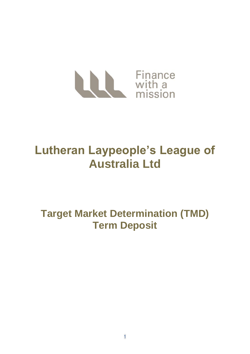

# **Lutheran Laypeople's League of Australia Ltd**

**Target Market Determination (TMD) Term Deposit**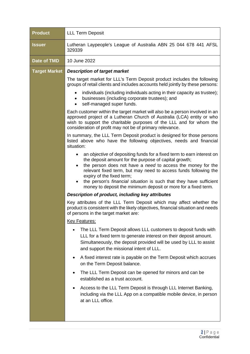| <b>Product</b>       | <b>LLL Term Deposit</b>                                                                                                                                                                                                                                                                                                                                                                                                                                 |
|----------------------|---------------------------------------------------------------------------------------------------------------------------------------------------------------------------------------------------------------------------------------------------------------------------------------------------------------------------------------------------------------------------------------------------------------------------------------------------------|
| <b>Issuer</b>        | Lutheran Laypeople's League of Australia ABN 25 044 678 441 AFSL<br>329339                                                                                                                                                                                                                                                                                                                                                                              |
| <b>Date of TMD</b>   | 10 June 2022                                                                                                                                                                                                                                                                                                                                                                                                                                            |
| <b>Target Market</b> | <b>Description of target market</b>                                                                                                                                                                                                                                                                                                                                                                                                                     |
|                      | The target market for LLL's Term Deposit product includes the following<br>groups of retail clients and includes accounts held jointly by these persons:                                                                                                                                                                                                                                                                                                |
|                      | individuals (including individuals acting in their capacity as trustee);<br>businesses (including corporate trustees); and<br>self-managed super funds.<br>$\bullet$                                                                                                                                                                                                                                                                                    |
|                      | Each customer within the target market will also be a person involved in an<br>approved project of a Lutheran Church of Australia (LCA) entity or who<br>wish to support the charitable purposes of the LLL and for whom the<br>consideration of profit may not be of primary relevance.                                                                                                                                                                |
|                      | In summary, the LLL Term Deposit product is designed for those persons<br>listed above who have the following objectives, needs and financial<br>situation:                                                                                                                                                                                                                                                                                             |
|                      | an objective of depositing funds for a fixed term to earn interest on<br>٠<br>the deposit amount for the purpose of capital growth;<br>the person does not have a need to access the money for the<br>$\bullet$<br>relevant fixed term, but may need to access funds following the<br>expiry of the fixed term;<br>the person's financial situation is such that they have sufficient<br>money to deposit the minimum deposit or more for a fixed term. |
|                      | Description of product, including key attributes                                                                                                                                                                                                                                                                                                                                                                                                        |
|                      | Key attributes of the LLL Term Deposit which may affect whether the<br>product is consistent with the likely objectives, financial situation and needs<br>of persons in the target market are:                                                                                                                                                                                                                                                          |
|                      | <b>Key Features:</b>                                                                                                                                                                                                                                                                                                                                                                                                                                    |
|                      | The LLL Term Deposit allows LLL customers to deposit funds with<br>LLL for a fixed term to generate interest on their deposit amount.<br>Simultaneously, the deposit provided will be used by LLL to assist<br>and support the missional intent of LLL.                                                                                                                                                                                                 |
|                      | A fixed interest rate is payable on the Term Deposit which accrues<br>on the Term Deposit balance.                                                                                                                                                                                                                                                                                                                                                      |
|                      | The LLL Term Deposit can be opened for minors and can be<br>established as a trust account.                                                                                                                                                                                                                                                                                                                                                             |
|                      | Access to the LLL Term Deposit is through LLL Internet Banking,<br>including via the LLL App on a compatible mobile device, in person<br>at an LLL office.                                                                                                                                                                                                                                                                                              |
|                      |                                                                                                                                                                                                                                                                                                                                                                                                                                                         |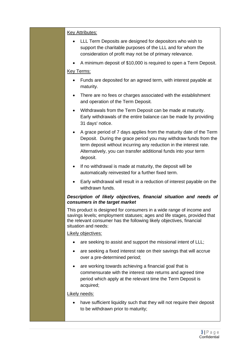## Key Attributes:

- LLL Term Deposits are designed for depositors who wish to support the charitable purposes of the LLL and for whom the consideration of profit may not be of primary relevance.
- A minimum deposit of \$10,000 is required to open a Term Deposit.

## Key Terms:

- Funds are deposited for an agreed term, with interest payable at maturity.
- There are no fees or charges associated with the establishment and operation of the Term Deposit.
- Withdrawals from the Term Deposit can be made at maturity. Early withdrawals of the entire balance can be made by providing 31 days' notice.
- A grace period of 7 days applies from the maturity date of the Term Deposit. During the grace period you may withdraw funds from the term deposit without incurring any reduction in the interest rate. Alternatively, you can transfer additional funds into your term deposit.
- If no withdrawal is made at maturity, the deposit will be automatically reinvested for a further fixed term.
- Early withdrawal will result in a reduction of interest payable on the withdrawn funds.

#### *Description of likely objectives, financial situation and needs of consumers in the target market*

This product is designed for consumers in a wide range of income and savings levels; employment statuses; ages and life stages, provided that the relevant consumer has the following likely objectives, financial situation and needs:

#### Likely objectives:

- are seeking to assist and support the missional intent of LLL:
- are seeking a fixed interest rate on their savings that will accrue over a pre-determined period;
- are working towards achieving a financial goal that is commensurate with the interest rate returns and agreed time period which apply at the relevant time the Term Deposit is acquired;

#### Likely needs:

• have sufficient liquidity such that they will not require their deposit to be withdrawn prior to maturity;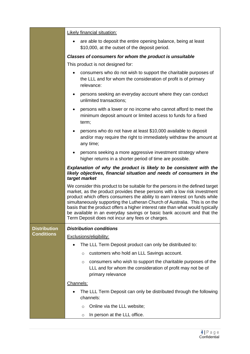|                     | <b>Likely financial situation:</b>                                                                                                                                                                                                                                                                                                                                                                                                                                                                                                    |
|---------------------|---------------------------------------------------------------------------------------------------------------------------------------------------------------------------------------------------------------------------------------------------------------------------------------------------------------------------------------------------------------------------------------------------------------------------------------------------------------------------------------------------------------------------------------|
|                     | are able to deposit the entire opening balance, being at least<br>\$10,000, at the outset of the deposit period.                                                                                                                                                                                                                                                                                                                                                                                                                      |
|                     | Classes of consumers for whom the product is unsuitable                                                                                                                                                                                                                                                                                                                                                                                                                                                                               |
|                     | This product is not designed for:                                                                                                                                                                                                                                                                                                                                                                                                                                                                                                     |
|                     | consumers who do not wish to support the charitable purposes of<br>the LLL and for whom the consideration of profit is of primary<br>relevance:                                                                                                                                                                                                                                                                                                                                                                                       |
|                     | persons seeking an everyday account where they can conduct<br>unlimited transactions;                                                                                                                                                                                                                                                                                                                                                                                                                                                 |
|                     | persons with a lower or no income who cannot afford to meet the<br>minimum deposit amount or limited access to funds for a fixed<br>term;                                                                                                                                                                                                                                                                                                                                                                                             |
|                     | persons who do not have at least \$10,000 available to deposit<br>and/or may require the right to immediately withdraw the amount at<br>any time;                                                                                                                                                                                                                                                                                                                                                                                     |
|                     | persons seeking a more aggressive investment strategy where<br>$\bullet$<br>higher returns in a shorter period of time are possible.                                                                                                                                                                                                                                                                                                                                                                                                  |
|                     | Explanation of why the product is likely to be consistent with the<br>likely objectives, financial situation and needs of consumers in the<br>target market                                                                                                                                                                                                                                                                                                                                                                           |
|                     | We consider this product to be suitable for the persons in the defined target<br>market, as the product provides these persons with a low risk investment<br>product which offers consumers the ability to earn interest on funds while<br>simultaneously supporting the Lutheran Church of Australia. This is on the<br>basis that the product offers a higher interest rate than what would typically<br>be available in an everyday savings or basic bank account and that the<br>Term Deposit does not incur any fees or charges. |
| <b>Distribution</b> | <b>Distribution conditions</b>                                                                                                                                                                                                                                                                                                                                                                                                                                                                                                        |
| <b>Conditions</b>   | <b>Exclusions/eligibility:</b>                                                                                                                                                                                                                                                                                                                                                                                                                                                                                                        |
|                     | The LLL Term Deposit product can only be distributed to:                                                                                                                                                                                                                                                                                                                                                                                                                                                                              |
|                     | customers who hold an LLL Savings account.<br>$\circ$                                                                                                                                                                                                                                                                                                                                                                                                                                                                                 |
|                     | consumers who wish to support the charitable purposes of the<br>$\circ$<br>LLL and for whom the consideration of profit may not be of<br>primary relevance                                                                                                                                                                                                                                                                                                                                                                            |
|                     | Channels:                                                                                                                                                                                                                                                                                                                                                                                                                                                                                                                             |
|                     | The LLL Term Deposit can only be distributed through the following<br>channels:                                                                                                                                                                                                                                                                                                                                                                                                                                                       |
|                     | Online via the LLL website;<br>$\circ$                                                                                                                                                                                                                                                                                                                                                                                                                                                                                                |
|                     | In person at the LLL office.<br>O                                                                                                                                                                                                                                                                                                                                                                                                                                                                                                     |